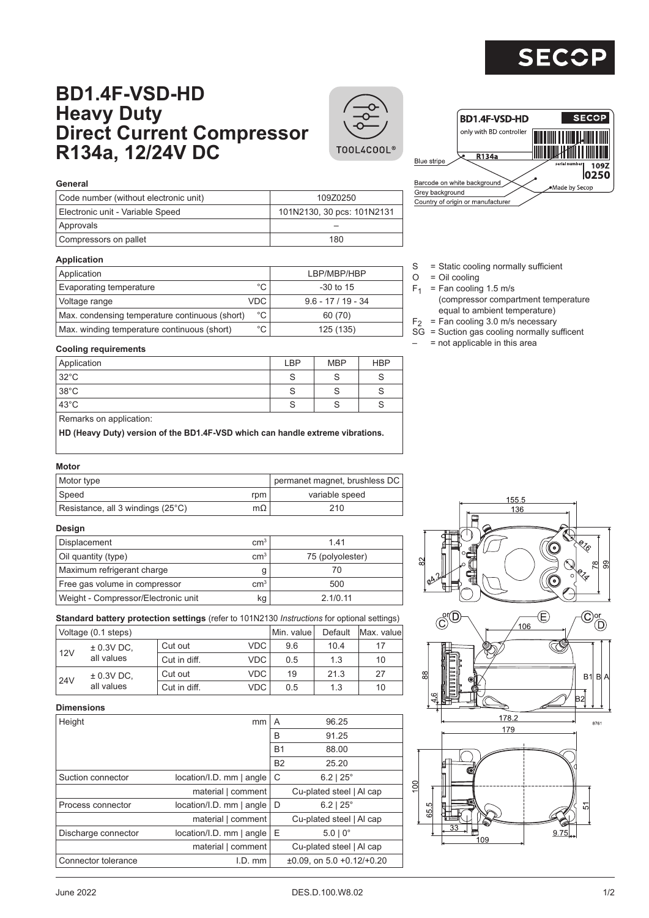

# **BD1.4F-VSD-HD Heavy Duty Direct Current Compressor R134a, 12/24V DC**





| Code number (without electronic unit) | 109Z0250                   |
|---------------------------------------|----------------------------|
| Electronic unit - Variable Speed      | 101N2130, 30 pcs: 101N2131 |
| Approvals                             |                            |
| Compressors on pallet                 | 180                        |

## **Application**

| Application                                    |              | LBP/MBP/HBP        |
|------------------------------------------------|--------------|--------------------|
| Evaporating temperature                        | $^{\circ}$ C | $-30$ to 15        |
| Voltage range                                  | VDC.         | $9.6 - 17/19 - 34$ |
| Max. condensing temperature continuous (short) | $^{\circ}$ C | 60 (70)            |
| Max. winding temperature continuous (short)    | °C           | 125 (135)          |

- BD1.4F-VSD-HD SECOR only with BD controller R134a **Blue** stripe  $109Z$  $|0250$ Barcode on white background Made by Secop Grey background Country of origin or manufacturer
- S = Static cooling normally sufficient
- $O = Oil$  cooling
- $F_1$  = Fan cooling 1.5 m/s
	- (compressor compartment temperature equal to ambient temperature)
- $F<sub>2</sub>$  = Fan cooling 3.0 m/s necessary
- SG = Suction gas cooling normally sufficent
	- $=$  not applicable in this area

### **Cooling requirements**

| Application             | LBP | <b>MBP</b> | <b>HBP</b> |
|-------------------------|-----|------------|------------|
| 32°C                    | c   |            |            |
| 38°C                    |     |            |            |
| $ 43^{\circ}$ C         |     |            |            |
| Demarke on application: |     |            |            |

Remarks on application:

**HD (Heavy Duty) version of the BD1.4F-VSD which can handle extreme vibrations.**

#### **Motor**

| Motor type                        | permanet magnet, brushless DC |                |
|-----------------------------------|-------------------------------|----------------|
| Speed                             | rpm                           | variable speed |
| Resistance, all 3 windings (25°C) | mΩ                            | 210            |

#### **Design**

| Displacement                        | cm <sup>3</sup> | 141              |
|-------------------------------------|-----------------|------------------|
| Oil quantity (type)                 | cm <sup>3</sup> | 75 (polyolester) |
| Maximum refrigerant charge          |                 |                  |
| Free gas volume in compressor       | $\rm cm^{3}$    | 500              |
| Weight - Compressor/Electronic unit | kg              | 2.1/0.11         |

**Standard battery protection settings** (refer to 101N2130 *Instructions* for optional settings)

|                     | Voltage (0.1 steps) | Min. value   | Default | Max. valuel |      |    |
|---------------------|---------------------|--------------|---------|-------------|------|----|
| $± 0.3V$ DC,<br>12V | Cut out             | VDC.         | 9.6     | 10.4        | 17   |    |
|                     | all values          | Cut in diff. | VDC.    | 0.5         | 1.3  | 10 |
|                     | $± 0.3V$ DC,        | Cut out      | VDC.    | 19          | 21.3 | 27 |
| 24V                 | all values          | Cut in diff. | VDC     | 0.5         | 1.3  | 10 |

## **Dimensions**

| Height              | mm                           | A         | 96.25                                   |
|---------------------|------------------------------|-----------|-----------------------------------------|
|                     |                              | B         | 91.25                                   |
|                     |                              | <b>B1</b> | 88.00                                   |
|                     |                              | <b>B2</b> | 25.20                                   |
| Suction connector   | $location/I.D.$ mm $ angle$  | C         | $6.2$   $25^{\circ}$                    |
|                     | material   comment           |           | Cu-plated steel   Al cap                |
| Process connector   | $location/I.D.$ mm $ angle$  | D         | $6.2$   $25^{\circ}$                    |
|                     | material   comment           |           | Cu-plated steel   Al cap                |
| Discharge connector | $location/I.D.$ mm $ angle $ | Ε         | $5.0 \mid 0^{\circ}$                    |
|                     | material   comment           |           | Cu-plated steel   Al cap                |
| Connector tolerance | $I.D.$ mm                    |           | $\pm 0.09$ . on 5.0 $\pm 0.12/\pm 0.20$ |